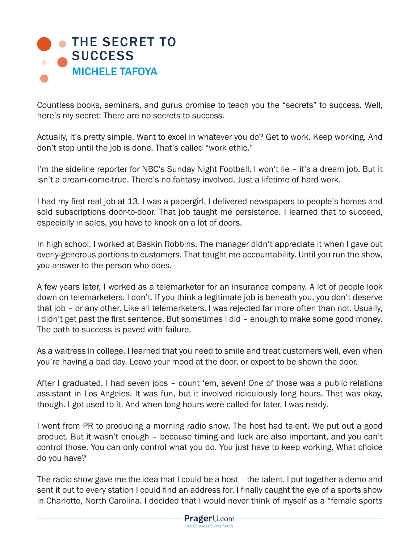

Countless books, seminars, and gurus promise to teach you the "secrets" to success. Well, here's my secret: There are no secrets to success.

Actually, it's pretty simple. Want to excel in whatever you do? Get to work. Keep working. And don't stop until the job is done. That's called "work ethic."

I'm the sideline reporter for NBC's Sunday Night Football. I won't lie – it's a dream job. But it isn't a dream-come-true. There's no fantasy involved. Just a lifetime of hard work.

I had my first real job at 13. I was a papergirl. I delivered newspapers to people's homes and sold subscriptions door-to-door. That job taught me persistence. I learned that to succeed, especially in sales, you have to knock on a lot of doors.

In high school, I worked at Baskin Robbins. The manager didn't appreciate it when I gave out overly-generous portions to customers. That taught me accountability. Until you run the show, you answer to the person who does.

A few years later, I worked as a telemarketer for an insurance company. A lot of people look down on telemarketers. I don't. If you think a legitimate job is beneath you, you don't deserve that job – or any other. Like all telemarketers, I was rejected far more often than not. Usually, I didn't get past the first sentence. But sometimes I did – enough to make some good money. The path to success is paved with failure.

As a waitress in college, I learned that you need to smile and treat customers well, even when you're having a bad day. Leave your mood at the door, or expect to be shown the door.

After I graduated, I had seven jobs – count 'em, seven! One of those was a public relations assistant in Los Angeles. It was fun, but it involved ridiculously long hours. That was okay, though. I got used to it. And when long hours were called for later, I was ready.

I went from PR to producing a morning radio show. The host had talent. We put out a good product. But it wasn't enough – because timing and luck are also important, and you can't control those. You can only control what you do. You just have to keep working. What choice do you have?

The radio show gave me the idea that I could be a host – the talent. I put together a demo and sent it out to every station I could find an address for. I finally caught the eye of a sports show in Charlotte, North Carolina. I decided that I would never think of myself as a "female sports